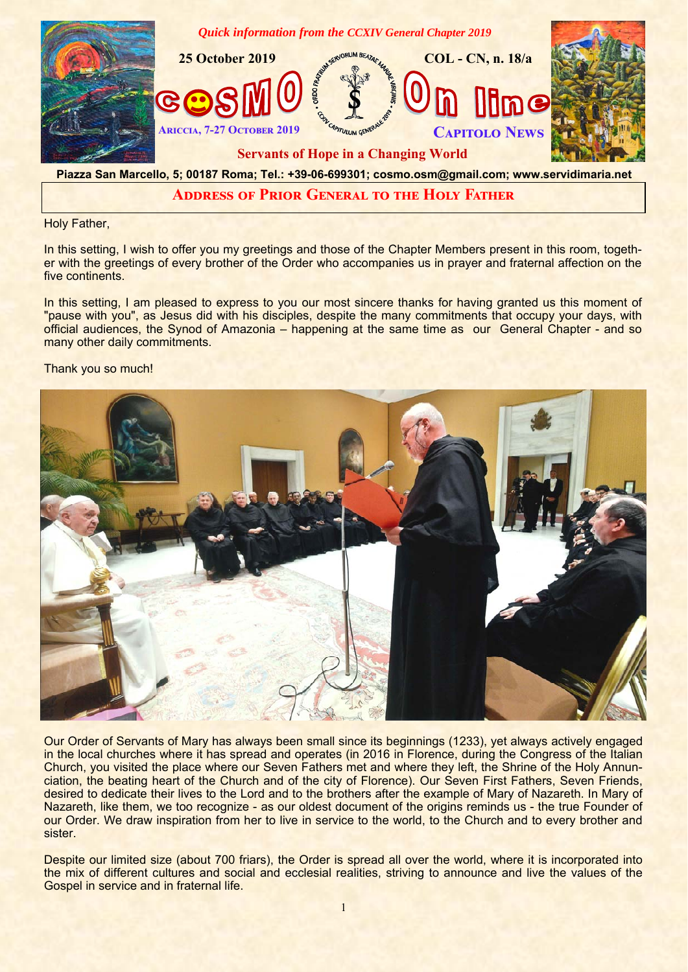

## **ADDRESS OF PRIOR GENERAL TO THE HOLY FATHER**

Holy Father,

In this setting, I wish to offer you my greetings and those of the Chapter Members present in this room, together with the greetings of every brother of the Order who accompanies us in prayer and fraternal affection on the five continents.

In this setting, I am pleased to express to you our most sincere thanks for having granted us this moment of "pause with you", as Jesus did with his disciples, despite the many commitments that occupy your days, with official audiences, the Synod of Amazonia – happening at the same time as our General Chapter - and so many other daily commitments.

## Thank you so much!



Our Order of Servants of Mary has always been small since its beginnings (1233), yet always actively engaged in the local churches where it has spread and operates (in 2016 in Florence, during the Congress of the Italian Church, you visited the place where our Seven Fathers met and where they left, the Shrine of the Holy Annunciation, the beating heart of the Church and of the city of Florence). Our Seven First Fathers, Seven Friends, desired to dedicate their lives to the Lord and to the brothers after the example of Mary of Nazareth. In Mary of Nazareth, like them, we too recognize - as our oldest document of the origins reminds us - the true Founder of our Order. We draw inspiration from her to live in service to the world, to the Church and to every brother and sister.

Despite our limited size (about 700 friars), the Order is spread all over the world, where it is incorporated into the mix of different cultures and social and ecclesial realities, striving to announce and live the values of the Gospel in service and in fraternal life.